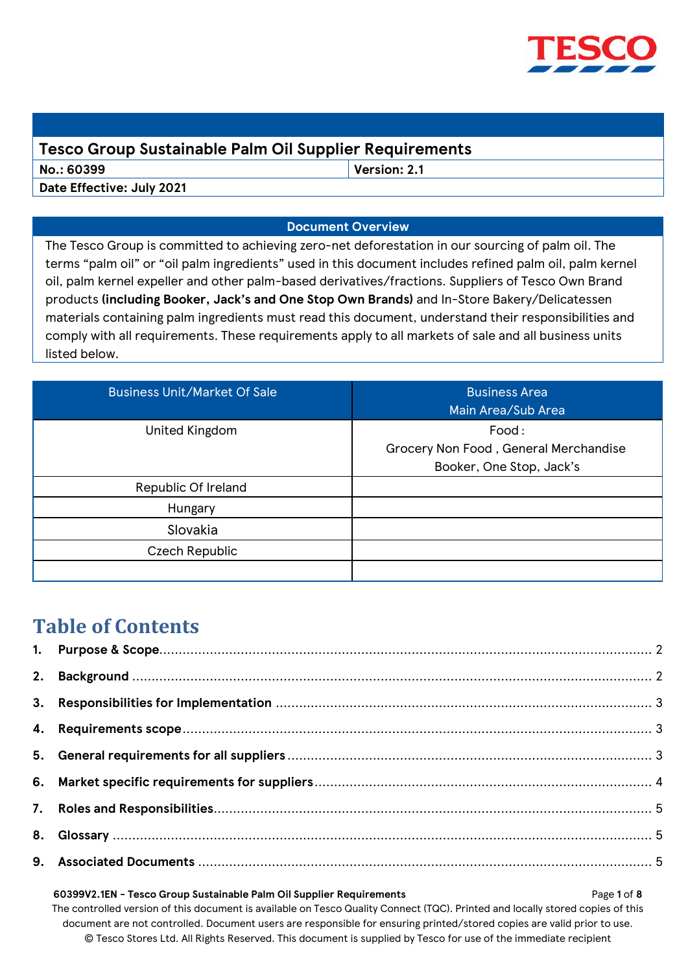

## **Tesco Group Sustainable Palm Oil Supplier Requirements**

**No.: 60399 Version: 2.1**

**Date Effective: July 2021**

## **Document Overview**

The Tesco Group is committed to achieving zero-net deforestation in our sourcing of palm oil. The terms "palm oil" or "oil palm ingredients" used in this document includes refined palm oil, palm kernel oil, palm kernel expeller and other palm-based derivatives/fractions. Suppliers of Tesco Own Brand products **(including Booker, Jack's and One Stop Own Brands)** and In-Store Bakery/Delicatessen materials containing palm ingredients must read this document, understand their responsibilities and comply with all requirements. These requirements apply to all markets of sale and all business units listed below.

| <b>Business Unit/Market Of Sale</b> | <b>Business Area</b><br>Main Area/Sub Area                                 |
|-------------------------------------|----------------------------------------------------------------------------|
| United Kingdom                      | Food:<br>Grocery Non Food, General Merchandise<br>Booker, One Stop, Jack's |
| Republic Of Ireland                 |                                                                            |
| Hungary                             |                                                                            |
| Slovakia                            |                                                                            |
| Czech Republic                      |                                                                            |
|                                     |                                                                            |

# **Table of Contents**

# **60399V2.1EN - Tesco Group Sustainable Palm Oil Supplier Requirements** Page **1** of **8**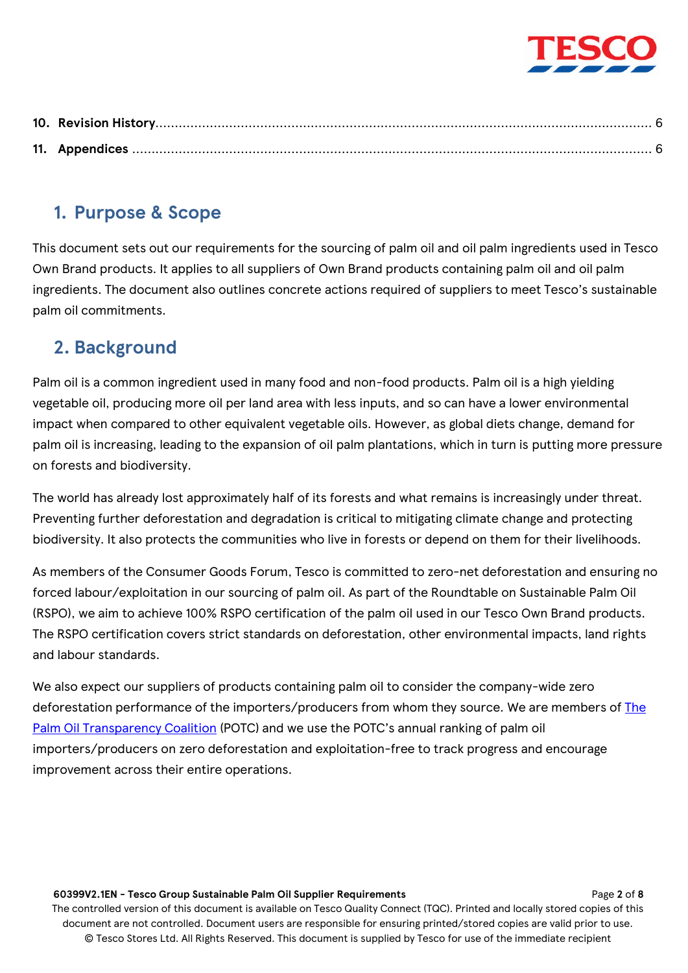# <span id="page-1-0"></span>**1. Purpose & Scope**

This document sets out our requirements for the sourcing of palm oil and oil palm ingredients used in Tesco Own Brand products. It applies to all suppliers of Own Brand products containing palm oil and oil palm ingredients. The document also outlines concrete actions required of suppliers to meet Tesco's sustainable palm oil commitments.

# <span id="page-1-1"></span>**2. Background**

Palm oil is a common ingredient used in many food and non-food products. Palm oil is a high yielding vegetable oil, producing more oil per land area with less inputs, and so can have a lower environmental impact when compared to other equivalent vegetable oils. However, as global diets change, demand for palm oil is increasing, leading to the expansion of oil palm plantations, which in turn is putting more pressure on forests and biodiversity.

The world has already lost approximately half of its forests and what remains is increasingly under threat. Preventing further deforestation and degradation is critical to mitigating climate change and protecting biodiversity. It also protects the communities who live in forests or depend on them for their livelihoods.

As members of the Consumer Goods Forum, Tesco is committed to zero-net deforestation and ensuring no forced labour/exploitation in our sourcing of palm oil. As part of the Roundtable on Sustainable Palm Oil (RSPO), we aim to achieve 100% RSPO certification of the palm oil used in our Tesco Own Brand products. The RSPO certification covers strict standards on deforestation, other environmental impacts, land rights and labour standards.

We also expect our suppliers of products containing palm oil to consider the company-wide zero deforestation performance of the importers/producers from whom they source. We are members of The [Palm Oil Transparency Coalition](https://www.palmoiltransparency.org/) (POTC) and we use the POTC's annual ranking of palm oil importers/producers on zero deforestation and exploitation-free to track progress and encourage improvement across their entire operations.

#### **60399V2.1EN - Tesco Group Sustainable Palm Oil Supplier Requirements** Page **2** of **8**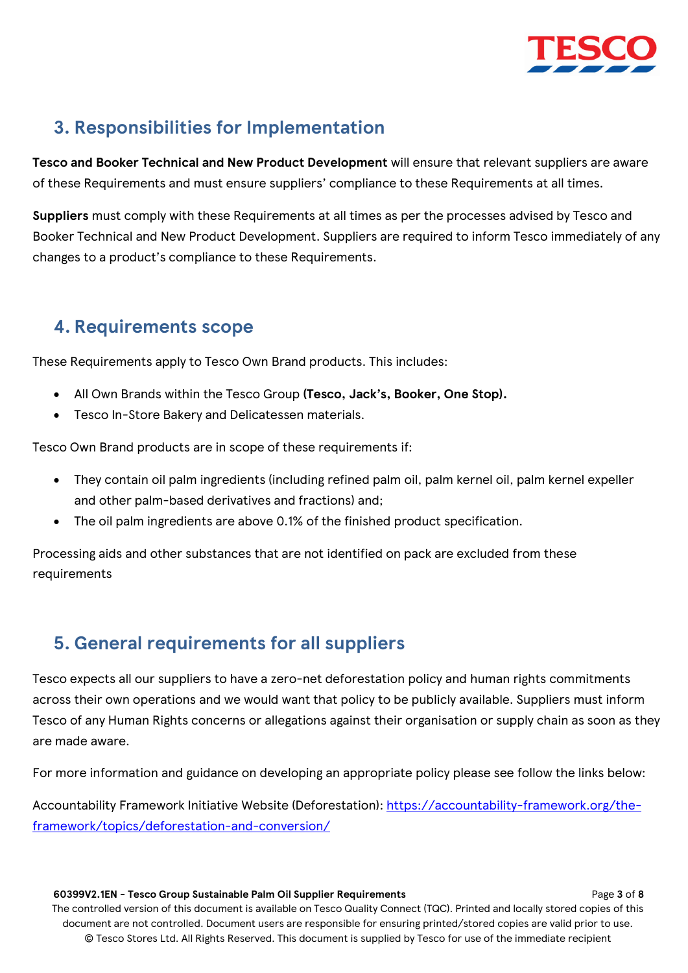

# <span id="page-2-0"></span>**3. Responsibilities for Implementation**

**Tesco and Booker Technical and New Product Development** will ensure that relevant suppliers are aware of these Requirements and must ensure suppliers' compliance to these Requirements at all times.

**Suppliers** must comply with these Requirements at all times as per the processes advised by Tesco and Booker Technical and New Product Development. Suppliers are required to inform Tesco immediately of any changes to a product's compliance to these Requirements.

# <span id="page-2-1"></span>**4. Requirements scope**

These Requirements apply to Tesco Own Brand products. This includes:

- All Own Brands within the Tesco Group **(Tesco, Jack's, Booker, One Stop).**
- Tesco In-Store Bakery and Delicatessen materials.

Tesco Own Brand products are in scope of these requirements if:

- They contain oil palm ingredients (including refined palm oil, palm kernel oil, palm kernel expeller and other palm-based derivatives and fractions) and;
- The oil palm ingredients are above 0.1% of the finished product specification.

Processing aids and other substances that are not identified on pack are excluded from these requirements

# <span id="page-2-2"></span>**5. General requirements for all suppliers**

Tesco expects all our suppliers to have a zero-net deforestation policy and human rights commitments across their own operations and we would want that policy to be publicly available. Suppliers must inform Tesco of any Human Rights concerns or allegations against their organisation or supply chain as soon as they are made aware.

For more information and guidance on developing an appropriate policy please see follow the links below:

Accountability Framework Initiative Website (Deforestation): [https://accountability-framework.org/the](https://accountability-framework.org/the-framework/topics/deforestation-and-conversion/)[framework/topics/deforestation-and-conversion/](https://accountability-framework.org/the-framework/topics/deforestation-and-conversion/)

#### **60399V2.1EN - Tesco Group Sustainable Palm Oil Supplier Requirements** Page **3** of **8**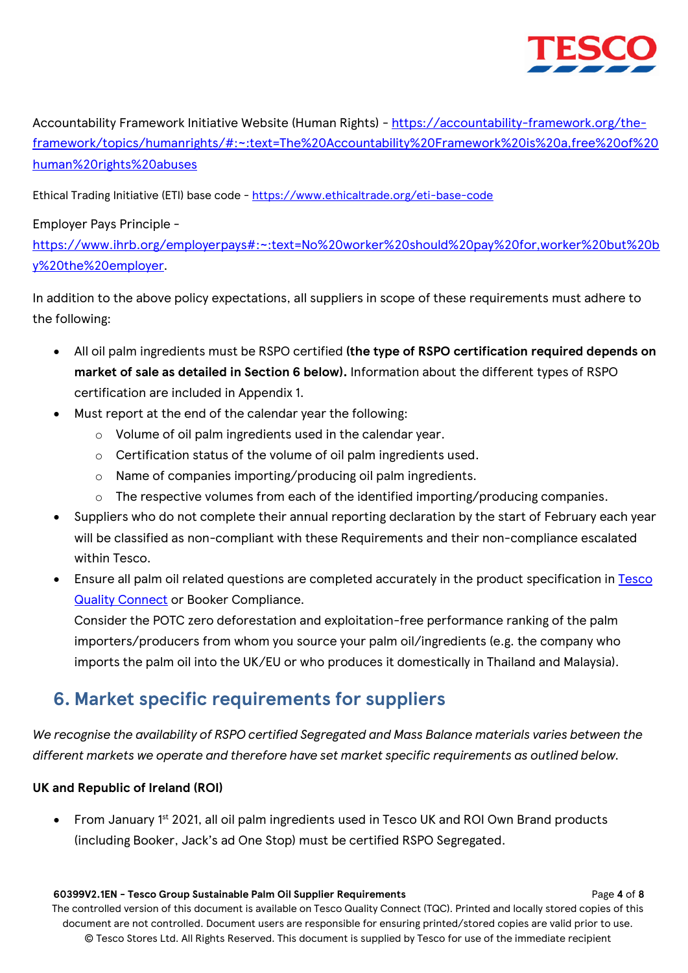

Accountability Framework Initiative Website (Human Rights) - [https://accountability-framework.org/the](https://accountability-framework.org/the-framework/topics/humanrights/#:~:text=The%20Accountability%20Framework%20is%20a,free%20of%20human%20rights%20abuses)[framework/topics/humanrights/#:~:text=The%20Accountability%20Framework%20is%20a,free%20of%20](https://accountability-framework.org/the-framework/topics/humanrights/#:~:text=The%20Accountability%20Framework%20is%20a,free%20of%20human%20rights%20abuses) [human%20rights%20abuses](https://accountability-framework.org/the-framework/topics/humanrights/#:~:text=The%20Accountability%20Framework%20is%20a,free%20of%20human%20rights%20abuses)

Ethical Trading Initiative (ETI) base code - <https://www.ethicaltrade.org/eti-base-code>

## Employer Pays Principle -

[https://www.ihrb.org/employerpays#:~:text=No%20worker%20should%20pay%20for,worker%20but%20b](https://www.ihrb.org/employerpays#:~:text=No%20worker%20should%20pay%20for,worker%20but%20by%20the%20employer) [y%20the%20employer.](https://www.ihrb.org/employerpays#:~:text=No%20worker%20should%20pay%20for,worker%20but%20by%20the%20employer)

In addition to the above policy expectations, all suppliers in scope of these requirements must adhere to the following:

- All oil palm ingredients must be RSPO certified **(the type of RSPO certification required depends on market of sale as detailed in Section 6 below).** Information about the different types of RSPO certification are included in Appendix 1.
- Must report at the end of the calendar year the following:
	- o Volume of oil palm ingredients used in the calendar year.
	- o Certification status of the volume of oil palm ingredients used.
	- o Name of companies importing/producing oil palm ingredients.
	- o The respective volumes from each of the identified importing/producing companies.
- Suppliers who do not complete their annual reporting declaration by the start of February each year will be classified as non-compliant with these Requirements and their non-compliance escalated within Tesco.
- Ensure all palm oil related questions are completed accurately in the product specification in Tesco **[Quality Connect](https://qualityconnect.tesco.com/orbcprod/login.vm) or Booker Compliance.**

Consider the POTC zero deforestation and exploitation-free performance ranking of the palm importers/producers from whom you source your palm oil/ingredients (e.g. the company who imports the palm oil into the UK/EU or who produces it domestically in Thailand and Malaysia).

# <span id="page-3-0"></span>**6. Market specific requirements for suppliers**

*We recognise the availability of RSPO certified Segregated and Mass Balance materials varies between the different markets we operate and therefore have set market specific requirements as outlined below.* 

## **UK and Republic of Ireland (ROI)**

• From January 1<sup>st</sup> 2021, all oil palm ingredients used in Tesco UK and ROI Own Brand products (including Booker, Jack's ad One Stop) must be certified RSPO Segregated.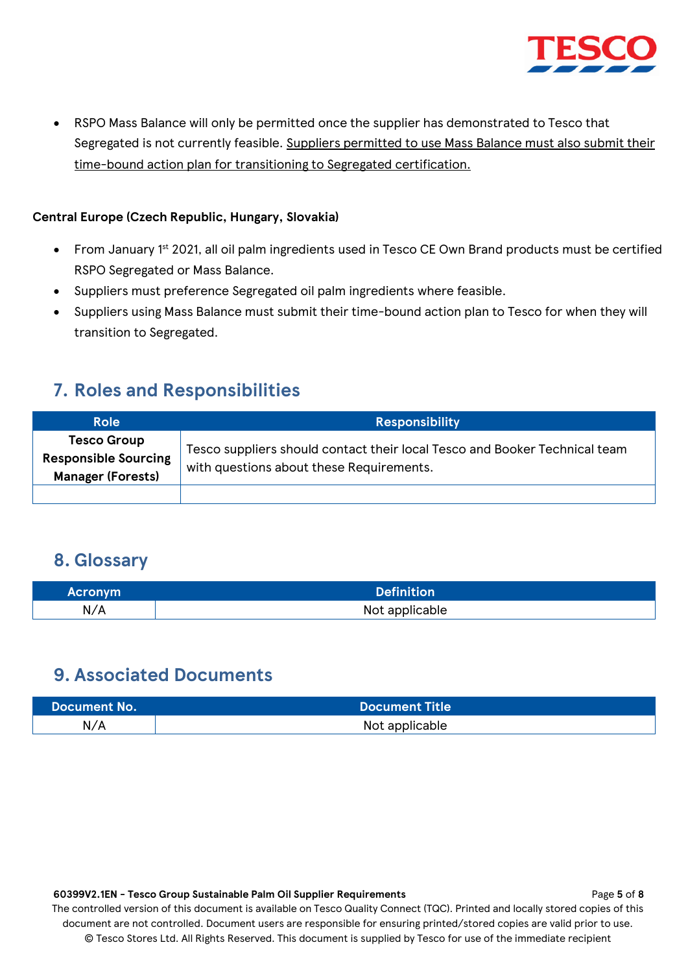

• RSPO Mass Balance will only be permitted once the supplier has demonstrated to Tesco that Segregated is not currently feasible. Suppliers permitted to use Mass Balance must also submit their time-bound action plan for transitioning to Segregated certification.

## **Central Europe (Czech Republic, Hungary, Slovakia)**

- From January 1<sup>st</sup> 2021, all oil palm ingredients used in Tesco CE Own Brand products must be certified RSPO Segregated or Mass Balance.
- Suppliers must preference Segregated oil palm ingredients where feasible.
- Suppliers using Mass Balance must submit their time-bound action plan to Tesco for when they will transition to Segregated.

## <span id="page-4-0"></span>**7. Roles and Responsibilities**

| <b>Role</b>                                                                   | <b>Responsibility</b>                                                                                                  |
|-------------------------------------------------------------------------------|------------------------------------------------------------------------------------------------------------------------|
| <b>Tesco Group</b><br><b>Responsible Sourcing</b><br><b>Manager (Forests)</b> | Tesco suppliers should contact their local Tesco and Booker Technical team<br>with questions about these Requirements. |
|                                                                               |                                                                                                                        |

## <span id="page-4-1"></span>**8. Glossary**

| <b>Acronym</b> | <b>Definition</b> |
|----------------|-------------------|
| N/A            | Not applicable    |

## <span id="page-4-2"></span>**9. Associated Documents**

| <b>Document No.</b> | Document Title |
|---------------------|----------------|
| N/A                 | Not applicable |

#### **60399V2.1EN - Tesco Group Sustainable Palm Oil Supplier Requirements** Page **5** of **8**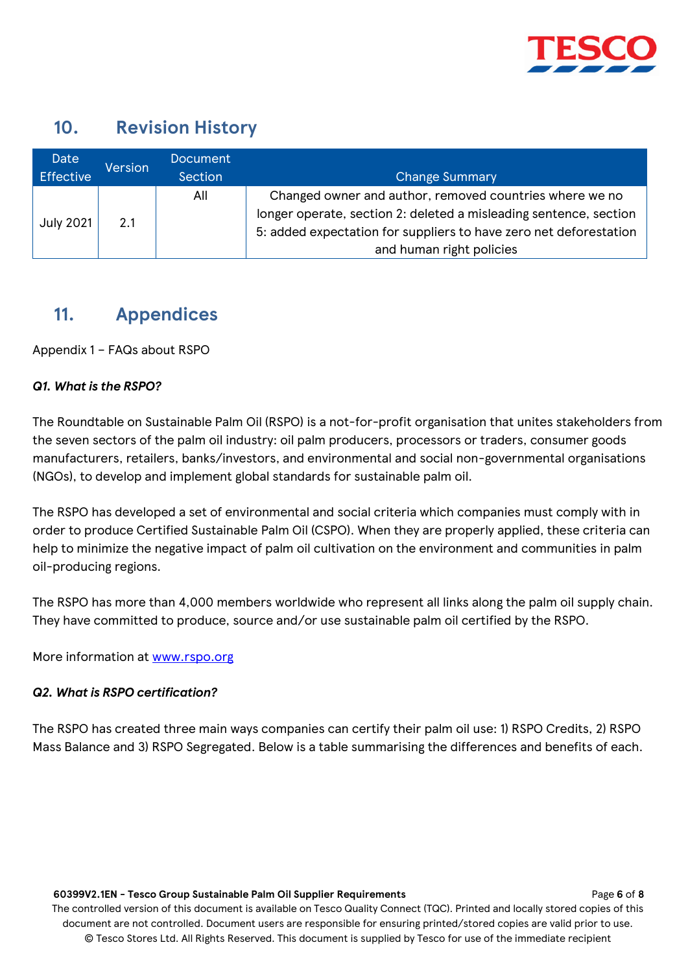

# <span id="page-5-0"></span>**10. Revision History**

| Date             | <b>Version</b> | <b>Document</b> |                                                                                                                                                                                                                               |  |
|------------------|----------------|-----------------|-------------------------------------------------------------------------------------------------------------------------------------------------------------------------------------------------------------------------------|--|
| <b>Effective</b> | Section        |                 | <b>Change Summary</b>                                                                                                                                                                                                         |  |
| July 2021        | 2.1            | All             | Changed owner and author, removed countries where we no<br>longer operate, section 2: deleted a misleading sentence, section<br>5: added expectation for suppliers to have zero net deforestation<br>and human right policies |  |

## <span id="page-5-1"></span>**11. Appendices**

Appendix 1 – FAQs about RSPO

## *Q1. What is the RSPO?*

The Roundtable on Sustainable Palm Oil (RSPO) is a not-for-profit organisation that unites stakeholders from the seven sectors of the palm oil industry: oil palm producers, processors or traders, consumer goods manufacturers, retailers, banks/investors, and environmental and social non-governmental organisations (NGOs), to develop and implement global standards for sustainable palm oil.

The RSPO has developed a set of environmental and social criteria which companies must comply with in order to produce Certified Sustainable Palm Oil (CSPO). When they are properly applied, these criteria can help to minimize the negative impact of palm oil cultivation on the environment and communities in palm oil-producing regions.

The RSPO has more than 4,000 members worldwide who represent all links along the palm oil supply chain. They have committed to produce, source and/or use sustainable palm oil certified by the RSPO.

More information at [www.rspo.org](http://www.rspo.org/)

## *Q2. What is RSPO certification?*

The RSPO has created three main ways companies can certify their palm oil use: 1) RSPO Credits, 2) RSPO Mass Balance and 3) RSPO Segregated. Below is a table summarising the differences and benefits of each.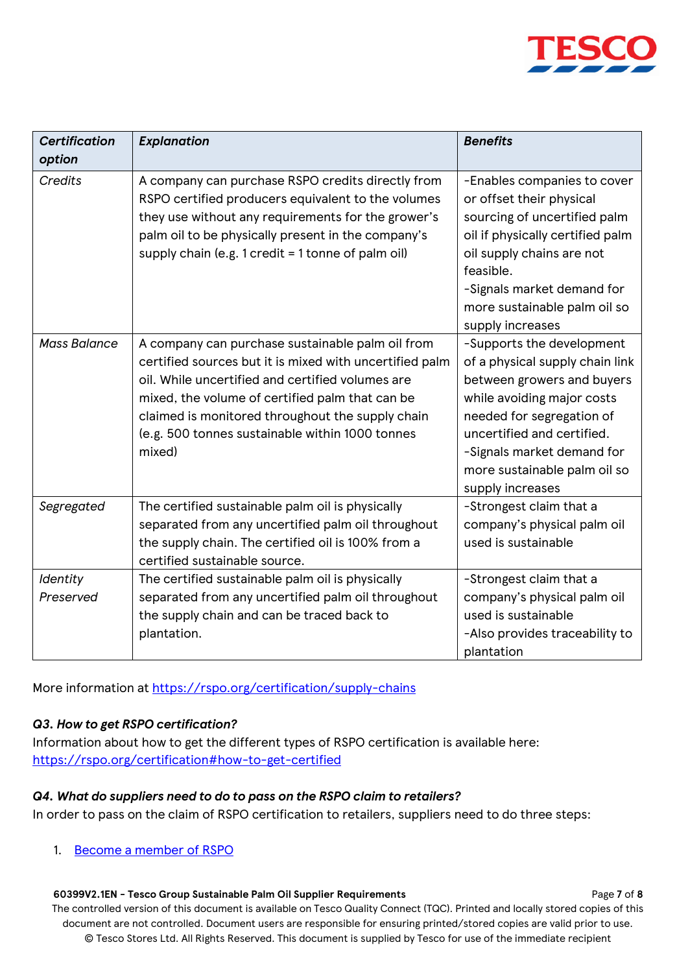

| <b>Certification</b><br>option | <b>Explanation</b>                                                                                                                                                                                                                                                                                                                  | <b>Benefits</b>                                                                                                                                                                                                                                                       |
|--------------------------------|-------------------------------------------------------------------------------------------------------------------------------------------------------------------------------------------------------------------------------------------------------------------------------------------------------------------------------------|-----------------------------------------------------------------------------------------------------------------------------------------------------------------------------------------------------------------------------------------------------------------------|
| <b>Credits</b>                 | A company can purchase RSPO credits directly from<br>RSPO certified producers equivalent to the volumes<br>they use without any requirements for the grower's<br>palm oil to be physically present in the company's<br>supply chain (e.g. 1 credit = 1 tonne of palm oil)                                                           | -Enables companies to cover<br>or offset their physical<br>sourcing of uncertified palm<br>oil if physically certified palm<br>oil supply chains are not<br>feasible.<br>-Signals market demand for<br>more sustainable palm oil so<br>supply increases               |
| <b>Mass Balance</b>            | A company can purchase sustainable palm oil from<br>certified sources but it is mixed with uncertified palm<br>oil. While uncertified and certified volumes are<br>mixed, the volume of certified palm that can be<br>claimed is monitored throughout the supply chain<br>(e.g. 500 tonnes sustainable within 1000 tonnes<br>mixed) | -Supports the development<br>of a physical supply chain link<br>between growers and buyers<br>while avoiding major costs<br>needed for segregation of<br>uncertified and certified.<br>-Signals market demand for<br>more sustainable palm oil so<br>supply increases |
| Segregated                     | The certified sustainable palm oil is physically<br>separated from any uncertified palm oil throughout<br>the supply chain. The certified oil is 100% from a<br>certified sustainable source.                                                                                                                                       | -Strongest claim that a<br>company's physical palm oil<br>used is sustainable                                                                                                                                                                                         |
| Identity<br>Preserved          | The certified sustainable palm oil is physically<br>separated from any uncertified palm oil throughout<br>the supply chain and can be traced back to<br>plantation.                                                                                                                                                                 | -Strongest claim that a<br>company's physical palm oil<br>used is sustainable<br>-Also provides traceability to<br>plantation                                                                                                                                         |

More information at<https://rspo.org/certification/supply-chains>

## *Q3. How to get RSPO certification?*

Information about how to get the different types of RSPO certification is available here: <https://rspo.org/certification#how-to-get-certified>

## *Q4. What do suppliers need to do to pass on the RSPO claim to retailers?*

In order to pass on the claim of RSPO certification to retailers, suppliers need to do three steps:

1. [Become a member of RSPO](https://rspo.org/members/apply)

## **60399V2.1EN - Tesco Group Sustainable Palm Oil Supplier Requirements** Page **7** of **8**